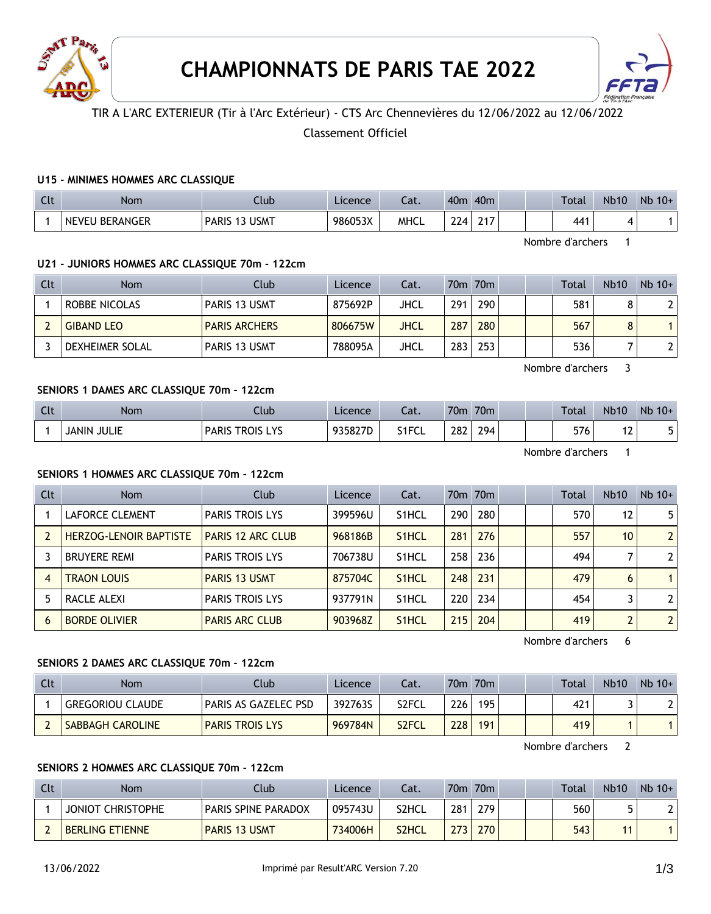



# TIR A L'ARC EXTERIEUR (Tir à l'Arc Extérieur) - CTS Arc Chennevières du 12/06/2022 au 12/06/2022

# Classement Officiel

#### **U15 - MINIMES HOMMES ARC CLASSIQUE**

| $\sim$<br>นเ | Nom                   | Club                   | Licence | - 1<br>-al. | 40 <sub>m</sub>                       | 40 <sub>m</sub> |  | <b>Total</b> | <b>Nb10</b> | $Nb$ 10+ |
|--------------|-----------------------|------------------------|---------|-------------|---------------------------------------|-----------------|--|--------------|-------------|----------|
|              | <b>NEVEU BERANGER</b> | 3 USMT<br><b>PARIS</b> | 986053X | MHCL        | $\mathcal{D}$ ית $\mathcal{D}$<br>-44 | 24.7            |  | 441          |             |          |

Nombre d'archers 1

### **U21 - JUNIORS HOMMES ARC CLASSIQUE 70m - 122cm**

| Clt | Nom               | Club                 | Licence | Cat. |     | 70m 70m |  | Total | <b>Nb10</b> | $Nb$ 10+ |
|-----|-------------------|----------------------|---------|------|-----|---------|--|-------|-------------|----------|
|     | ROBBE NICOLAS     | PARIS 13 USMT        | 875692P | JHCL | 291 | 290     |  | 581   |             |          |
|     | <b>GIBAND LEO</b> | <b>PARIS ARCHERS</b> | 806675W | JHCL | 287 | 280     |  | 567   |             |          |
|     | DEXHEIMER SOLAL   | PARIS 13 USMT        | 788095A | JHCL | 283 | 253     |  | 536   |             |          |

Nombre d'archers 3

## **SENIORS 1 DAMES ARC CLASSIQUE 70m - 122cm**

| Clt | <b>Nom</b>         | Club                   | Licence | Cat.  | 70 <sub>m</sub> | 70 <sub>m</sub> |  | <b>Total</b> | <b>Nb10</b>              | $Nb$ 10+ |
|-----|--------------------|------------------------|---------|-------|-----------------|-----------------|--|--------------|--------------------------|----------|
|     | <b>JANIN JULIE</b> | <b>PARIS TROIS LYS</b> | 935827D | S1FCL | 282             | 294             |  | 576          | $\overline{\phantom{a}}$ | ∽<br>ັ   |
|     |                    |                        |         |       |                 |                 |  |              |                          |          |

Nombre d'archers 1

#### **SENIORS 1 HOMMES ARC CLASSIQUE 70m - 122cm**

| Clt | <b>Nom</b>                    | Club                     | Licence | Cat.               |     | 70 <sub>m</sub> 70 <sub>m</sub> |  | Total | <b>Nb10</b>    | $Nb$ 10+       |
|-----|-------------------------------|--------------------------|---------|--------------------|-----|---------------------------------|--|-------|----------------|----------------|
|     | LAFORCE CLEMENT               | <b>PARIS TROIS LYS</b>   | 399596U | S <sub>1</sub> HCL | 290 | 280                             |  | 570   | 12             | 5 <sup>1</sup> |
|     | <b>HERZOG-LENOIR BAPTISTE</b> | <b>PARIS 12 ARC CLUB</b> | 968186B | S <sub>1</sub> HCL | 281 | 276                             |  | 557   | 10             | 2 <sup>1</sup> |
|     | <b>BRUYERE REMI</b>           | <b>PARIS TROIS LYS</b>   | 706738U | S <sub>1</sub> HCL | 258 | 236                             |  | 494   |                | 2 <sup>1</sup> |
| 4   | <b>TRAON LOUIS</b>            | <b>PARIS 13 USMT</b>     | 875704C | S <sub>1</sub> HCL | 248 | 231                             |  | 479   | 6              |                |
|     | RACLE ALEXI                   | <b>PARIS TROIS LYS</b>   | 937791N | S <sub>1</sub> HCL | 220 | 234                             |  | 454   |                | 2 <sup>1</sup> |
| 6   | <b>BORDE OLIVIER</b>          | <b>PARIS ARC CLUB</b>    | 903968Z | S <sub>1</sub> HCL | 215 | 204                             |  | 419   | $\overline{2}$ | 2 <sup>1</sup> |

Nombre d'archers 6

#### **SENIORS 2 DAMES ARC CLASSIQUE 70m - 122cm**

| Clt | Nom                     | Club                   | Licence | Cat.               |     | 70m 70m |  | Total | <b>Nb10</b> | $Nb 10+$ |
|-----|-------------------------|------------------------|---------|--------------------|-----|---------|--|-------|-------------|----------|
|     | <b>GREGORIOU CLAUDE</b> | PARIS AS GAZELEC PSD!! | 392763S | S2FCL              | 226 | 195     |  | 421   |             |          |
|     | <b>SABBAGH CAROLINE</b> | <b>PARIS TROIS LYS</b> | 969784N | S <sub>2</sub> FCL | 228 | 191     |  | 419   |             |          |

Nombre d'archers 2

### **SENIORS 2 HOMMES ARC CLASSIQUE 70m - 122cm**

| Clt | Nom                      | Club                       | <b>Licence</b> | Cat.  |     | 70m 70m |  | Total | <b>Nb10</b> | $Nb$ 10+ |
|-----|--------------------------|----------------------------|----------------|-------|-----|---------|--|-------|-------------|----------|
|     | <b>JONIOT CHRISTOPHE</b> | <b>PARIS SPINE PARADOX</b> | 095743U        | S2HCL | 281 | 279     |  | 560   |             |          |
|     | <b>BERLING ETIENNE</b>   | <b>PARIS 13 USMT</b>       | 734006H        | S2HCL | 273 | 270     |  | 543   |             |          |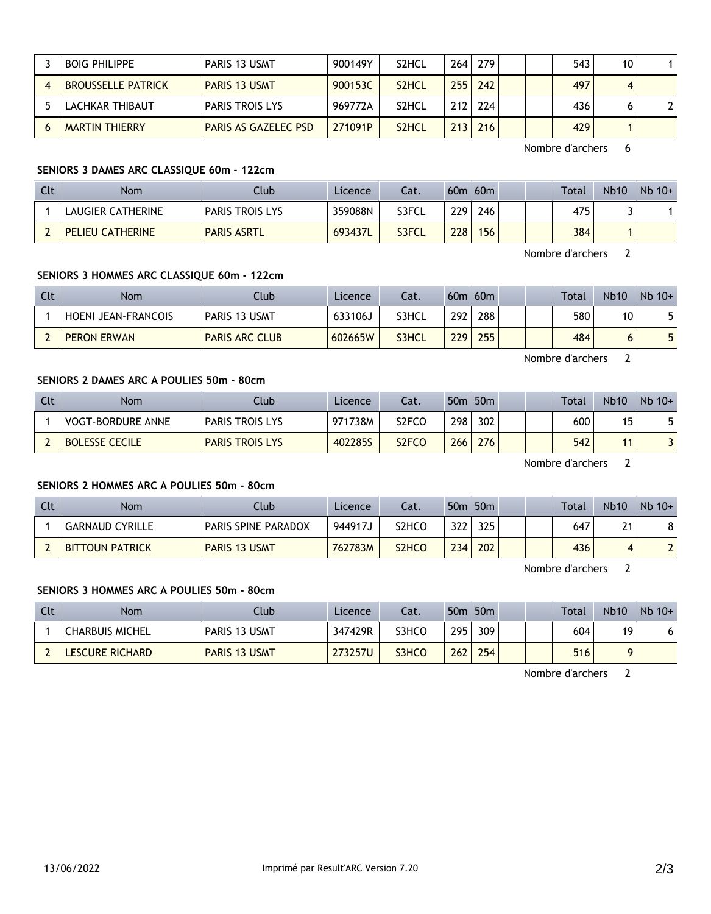| <b>BOIG PHILIPPE</b>      | PARIS 13 USMT               | 900149Y | S2HCL              | 264 | 279       |  | 543 | 10 |  |
|---------------------------|-----------------------------|---------|--------------------|-----|-----------|--|-----|----|--|
| <b>BROUSSELLE PATRICK</b> | <b>PARIS 13 USMT</b>        | 900153C | S <sub>2</sub> HCL | 255 | 242       |  | 497 | 4  |  |
| ' LACHKAR THIBAUT         | <b>PARIS TROIS LYS</b>      | 969772A | S <sub>2</sub> HCL |     | $212$ 224 |  | 436 |    |  |
| <b>MARTIN THIERRY</b>     | <b>PARIS AS GAZELEC PSD</b> | 271091P | S <sub>2</sub> HCL | 213 | 216       |  | 429 |    |  |

Nombre d'archers 6

### **SENIORS 3 DAMES ARC CLASSIQUE 60m - 122cm**

| Clt | Nom                     | Club                   | Licence | Cat.  | 60 <sub>m</sub> | 60m |  | <b>Total</b> | <b>Nb10</b> | $Nb$ 10+ |
|-----|-------------------------|------------------------|---------|-------|-----------------|-----|--|--------------|-------------|----------|
|     | LAUGIER CATHERINE       | <b>PARIS TROIS LYS</b> | 359088N | S3FCL | 229             | 246 |  | 475          |             |          |
|     | <b>PELIEU CATHERINE</b> | <b>PARIS ASRTL</b>     | 693437L | S3FCL | 228             | 156 |  | 384          |             |          |

Nombre d'archers 2

## **SENIORS 3 HOMMES ARC CLASSIQUE 60m - 122cm**

| Clt | Nom                   | Club                  | Licence | Cat.         | 60 <sub>m</sub>  | 60m |  | Total | <b>Nb10</b> | $Nb 10+$ |
|-----|-----------------------|-----------------------|---------|--------------|------------------|-----|--|-------|-------------|----------|
|     | I HOENI JEAN-FRANCOIS | <b>PARIS 13 USMT</b>  | 633106J | S3HCL        | 292              | 288 |  | 580   | 10          | 5.       |
|     | <b>PERON ERWAN</b>    | <b>PARIS ARC CLUB</b> | 602665W | <b>S3HCL</b> | 229 <sub>1</sub> | 255 |  | 484   | O           | 5        |

Nombre d'archers 2

# **SENIORS 2 DAMES ARC A POULIES 50m - 80cm**

| Clt | Nom                      | Club                   | Licence | Cat.  |     | 50 <sub>m</sub> 50 <sub>m</sub> |  | <b>Total</b> | <b>Nb10</b> | $Nb$ 10+ |
|-----|--------------------------|------------------------|---------|-------|-----|---------------------------------|--|--------------|-------------|----------|
|     | <b>VOGT-BORDURE ANNE</b> | <b>PARIS TROIS LYS</b> | 971738M | S2FCO | 298 | 302                             |  | 600          | 15          |          |
|     | <b>BOLESSE CECILE</b>    | <b>PARIS TROIS LYS</b> | 402285S | S2FCO | 266 | 276                             |  | 542          |             |          |

Nombre d'archers 2

#### **SENIORS 2 HOMMES ARC A POULIES 50m - 80cm**

| Clt | Nom                    | Club                       | Licence | Cat.                           |      | 50 <sub>m</sub> 50 <sub>m</sub> |  | <b>Total</b> | <b>Nb10</b> | $Nb$ 10+ |
|-----|------------------------|----------------------------|---------|--------------------------------|------|---------------------------------|--|--------------|-------------|----------|
|     | <b>GARNAUD CYRILLE</b> | <b>PARIS SPINE PARADOX</b> | 944917。 | S2HCO                          | 322  | 325                             |  | 647          | 21          | ا ٥      |
|     | <b>BITTOUN PATRICK</b> | <b>PARIS 13 USMT</b>       | 762783M | S <sub>2</sub> HC <sub>O</sub> | 2341 | 202 <sub>1</sub>                |  | 436          | 4           | າເ       |

Nombre d'archers 2

### **SENIORS 3 HOMMES ARC A POULIES 50m - 80cm**

| Clt | Nom                    | Club                 | Licence | Cat.  |     | 50 <sub>m</sub> 50 <sub>m</sub> |  | Total | <b>Nb10</b> | $Nb$ 10+ |
|-----|------------------------|----------------------|---------|-------|-----|---------------------------------|--|-------|-------------|----------|
|     | <b>CHARBUIS MICHEL</b> | PARIS 13 USMT        | 347429R | S3HCC | 295 | 309                             |  | 604   | 19          |          |
|     | <b>LESCURE RICHARD</b> | <b>PARIS 13 USMT</b> | 273257U | S3HCO | 262 | 254                             |  | 516   |             |          |

Nombre d'archers 2